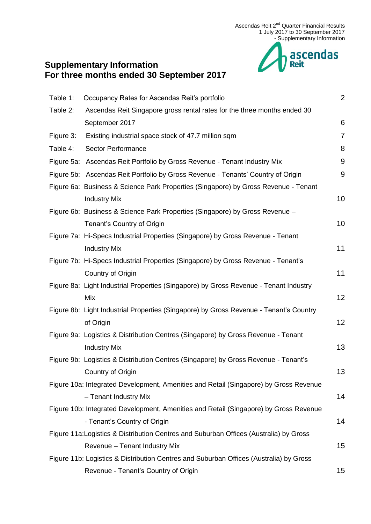

# **Supplementary Information For three months ended 30 September 2017**

| Table 1:  | Occupancy Rates for Ascendas Reit's portfolio                                          | $\overline{2}$ |
|-----------|----------------------------------------------------------------------------------------|----------------|
| Table 2:  | Ascendas Reit Singapore gross rental rates for the three months ended 30               |                |
|           | September 2017                                                                         | 6              |
| Figure 3: | Existing industrial space stock of 47.7 million sqm                                    | 7              |
| Table 4:  | <b>Sector Performance</b>                                                              | 8              |
|           | Figure 5a: Ascendas Reit Portfolio by Gross Revenue - Tenant Industry Mix              | 9              |
|           | Figure 5b: Ascendas Reit Portfolio by Gross Revenue - Tenants' Country of Origin       | 9              |
|           | Figure 6a: Business & Science Park Properties (Singapore) by Gross Revenue - Tenant    |                |
|           | <b>Industry Mix</b>                                                                    | 10             |
|           | Figure 6b: Business & Science Park Properties (Singapore) by Gross Revenue -           |                |
|           | Tenant's Country of Origin                                                             | 10             |
|           | Figure 7a: Hi-Specs Industrial Properties (Singapore) by Gross Revenue - Tenant        |                |
|           | <b>Industry Mix</b>                                                                    | 11             |
|           | Figure 7b: Hi-Specs Industrial Properties (Singapore) by Gross Revenue - Tenant's      |                |
|           | Country of Origin                                                                      | 11             |
|           | Figure 8a: Light Industrial Properties (Singapore) by Gross Revenue - Tenant Industry  |                |
|           | Mix                                                                                    | 12             |
|           | Figure 8b: Light Industrial Properties (Singapore) by Gross Revenue - Tenant's Country |                |
|           | of Origin                                                                              | 12             |
|           | Figure 9a: Logistics & Distribution Centres (Singapore) by Gross Revenue - Tenant      |                |
|           | <b>Industry Mix</b>                                                                    | 13             |
|           | Figure 9b: Logistics & Distribution Centres (Singapore) by Gross Revenue - Tenant's    |                |
|           | Country of Origin                                                                      | 13             |
|           | Figure 10a: Integrated Development, Amenities and Retail (Singapore) by Gross Revenue  |                |
|           | - Tenant Industry Mix                                                                  | 14             |
|           | Figure 10b: Integrated Development, Amenities and Retail (Singapore) by Gross Revenue  |                |
|           | - Tenant's Country of Origin                                                           | 14             |
|           | Figure 11a: Logistics & Distribution Centres and Suburban Offices (Australia) by Gross |                |
|           | Revenue - Tenant Industry Mix                                                          | 15             |
|           | Figure 11b: Logistics & Distribution Centres and Suburban Offices (Australia) by Gross |                |
|           | Revenue - Tenant's Country of Origin                                                   | 15             |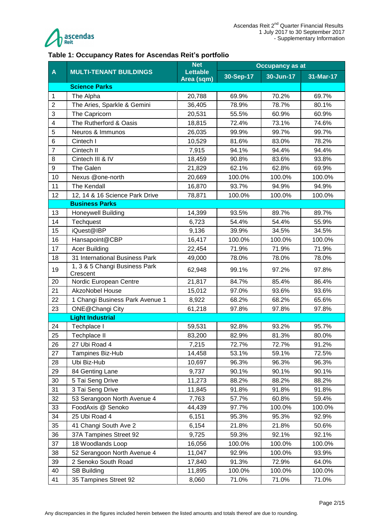

#### <span id="page-1-0"></span>**Table 1: Occupancy Rates for Ascendas Reit's portfolio**

|                |                                 | <b>Net</b>                    | <b>Occupancy as at</b> |           |           |  |
|----------------|---------------------------------|-------------------------------|------------------------|-----------|-----------|--|
| $\mathbf{A}$   | <b>MULTI-TENANT BUILDINGS</b>   | <b>Lettable</b><br>Area (sqm) | 30-Sep-17              | 30-Jun-17 | 31-Mar-17 |  |
|                | <b>Science Parks</b>            |                               |                        |           |           |  |
| 1              | The Alpha                       | 20,788                        | 69.9%                  | 70.2%     | 69.7%     |  |
| $\overline{2}$ | The Aries, Sparkle & Gemini     | 36,405                        | 78.9%                  | 78.7%     | 80.1%     |  |
| 3              | The Capricorn                   | 20,531                        | 55.5%                  | 60.9%     | 60.9%     |  |
| 4              | The Rutherford & Oasis          | 18,815                        | 72.4%                  | 73.1%     | 74.6%     |  |
| 5              | Neuros & Immunos                | 26,035                        | 99.9%                  | 99.7%     | 99.7%     |  |
| 6              | Cintech I                       | 10,529                        | 81.6%                  | 83.0%     | 78.2%     |  |
| $\overline{7}$ | Cintech II                      | 7,915                         | 94.1%                  | 94.4%     | 94.4%     |  |
| 8              | Cintech III & IV                | 18,459                        | 90.8%                  | 83.6%     | 93.8%     |  |
| 9              | The Galen                       | 21,829                        | 62.1%                  | 62.8%     | 69.9%     |  |
| 10             | Nexus @one-north                | 20,669                        | 100.0%                 | 100.0%    | 100.0%    |  |
| 11             | <b>The Kendall</b>              | 16,870                        | 93.7%                  | 94.9%     | 94.9%     |  |
| 12             | 12, 14 & 16 Science Park Drive  | 78,871                        | 100.0%                 | 100.0%    | 100.0%    |  |
|                | <b>Business Parks</b>           |                               |                        |           |           |  |
| 13             | <b>Honeywell Building</b>       | 14,399                        | 93.5%                  | 89.7%     | 89.7%     |  |
| 14             | Techquest                       | 6,723                         | 54.4%                  | 54.4%     | 55.9%     |  |
| 15             | iQuest@IBP                      | 9,136                         | 39.9%                  | 34.5%     | 34.5%     |  |
| 16             | Hansapoint@CBP                  | 16,417                        | 100.0%                 | 100.0%    | 100.0%    |  |
| 17             | <b>Acer Building</b>            | 22,454                        | 71.9%                  | 71.9%     | 71.9%     |  |
| 18             | 31 International Business Park  | 49,000                        | 78.0%                  | 78.0%     | 78.0%     |  |
|                | 1, 3 & 5 Changi Business Park   |                               |                        |           |           |  |
| 19             | Crescent                        | 62,948                        | 99.1%                  | 97.2%     | 97.8%     |  |
| 20             | Nordic European Centre          | 21,817                        | 84.7%                  | 85.4%     | 86.4%     |  |
| 21             | <b>AkzoNobel House</b>          | 15,012                        | 97.0%                  | 93.6%     | 93.6%     |  |
| 22             | 1 Changi Business Park Avenue 1 | 8,922                         | 68.2%                  | 68.2%     | 65.6%     |  |
| 23             | ONE@Changi City                 | 61,218                        | 97.8%                  | 97.8%     | 97.8%     |  |
|                | <b>Light Industrial</b>         |                               |                        |           |           |  |
| 24             | Techplace I                     | 59,531                        | 92.8%                  | 93.2%     | 95.7%     |  |
| 25             | Techplace II                    | 83,200                        | 82.9%                  | 81.3%     | 80.0%     |  |
| 26             | 27 Ubi Road 4                   | 7,215                         | 72.7%                  | 72.7%     | 91.2%     |  |
| 27             | Tampines Biz-Hub                | 14,458                        | 53.1%                  | 59.1%     | 72.5%     |  |
| 28             | Ubi Biz-Hub                     | 10,697                        | 96.3%                  | 96.3%     | 96.3%     |  |
| 29             | 84 Genting Lane                 | 9,737                         | 90.1%                  | 90.1%     | 90.1%     |  |
| 30             | 5 Tai Seng Drive                | 11,273                        | 88.2%                  | 88.2%     | 88.2%     |  |
| 31             | 3 Tai Seng Drive                | 11,845                        | 91.8%                  | 91.8%     | 91.8%     |  |
| 32             | 53 Serangoon North Avenue 4     | 7,763                         | 57.7%                  | 60.8%     | 59.4%     |  |
| 33             | FoodAxis @ Senoko               | 44,439                        | 97.7%                  | 100.0%    | 100.0%    |  |
| 34             | 25 Ubi Road 4                   | 6,151                         | 95.3%                  | 95.3%     | 92.9%     |  |
| 35             | 41 Changi South Ave 2           | 6,154                         | 21.8%                  | 21.8%     | 50.6%     |  |
| 36             | 37A Tampines Street 92          | 9,725                         | 59.3%                  | 92.1%     | 92.1%     |  |
| 37             | 18 Woodlands Loop               | 16,056                        | 100.0%                 | 100.0%    | 100.0%    |  |
| 38             | 52 Serangoon North Avenue 4     | 11,047                        | 92.9%                  | 100.0%    | 93.9%     |  |
| 39             | 2 Senoko South Road             | 17,840                        | 91.3%                  | 72.9%     | 64.0%     |  |
| 40             | <b>SB Building</b>              | 11,895                        | 100.0%                 | 100.0%    | 100.0%    |  |
| 41             | 35 Tampines Street 92           | 8,060                         | 71.0%                  | 71.0%     | 71.0%     |  |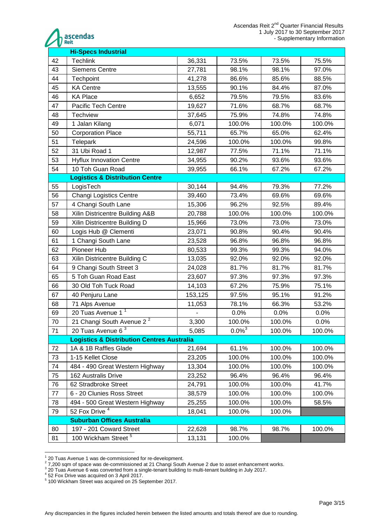

| 42<br><b>Techlink</b><br>36,331<br>73.5%<br>73.5%<br>75.5%<br>43<br><b>Siemens Centre</b><br>27,781<br>98.1%<br>98.1%<br>97.0%<br>44<br>41,278<br>86.6%<br>Techpoint<br>85.6%<br>88.5%<br>45<br><b>KA Centre</b><br>90.1%<br>87.0%<br>13,555<br>84.4%<br>46<br>83.6%<br><b>KA Place</b><br>6,652<br>79.5%<br>79.5%<br>47<br>71.6%<br>68.7%<br><b>Pacific Tech Centre</b><br>19,627<br>68.7%<br>48<br>75.9%<br>74.8%<br>Techview<br>37,645<br>74.8%<br>49<br>6,071<br>100.0%<br>100.0%<br>100.0%<br>1 Jalan Kilang<br>50<br><b>Corporation Place</b><br>55,711<br>65.7%<br>65.0%<br>62.4%<br>51<br>Telepark<br>100.0%<br>100.0%<br>99.8%<br>24,596<br>52<br>31 Ubi Road 1<br>77.5%<br>71.1%<br>71.1%<br>12,987<br>53<br>90.2%<br>93.6%<br>93.6%<br><b>Hyflux Innovation Centre</b><br>34,955<br>54<br>10 Toh Guan Road<br>66.1%<br>67.2%<br>67.2%<br>39,955<br><b>Logistics &amp; Distribution Centre</b><br>55<br>77.2%<br>LogisTech<br>30,144<br>79.3%<br>94.4%<br>56<br><b>Changi Logistics Centre</b><br>73.4%<br>69.6%<br>69.6%<br>39,460<br>57<br>4 Changi South Lane<br>96.2%<br>15,306<br>92.5%<br>89.4%<br>58<br>Xilin Districentre Building A&B<br>100.0%<br>20,788<br>100.0%<br>100.0%<br>59<br>Xilin Districentre Building D<br>73.0%<br>73.0%<br>73.0%<br>15,966<br>60<br>Logis Hub @ Clementi<br>23,071<br>90.8%<br>90.4%<br>90.4%<br>61<br>1 Changi South Lane<br>96.8%<br>96.8%<br>23,528<br>96.8%<br>62<br>99.3%<br>99.3%<br>Pioneer Hub<br>80,533<br>94.0%<br>63<br>Xilin Districentre Building C<br>13,035<br>92.0%<br>92.0%<br>92.0%<br>81.7%<br>81.7%<br>64<br>9 Changi South Street 3<br>24,028<br>81.7%<br>65<br>5 Toh Guan Road East<br>97.3%<br>97.3%<br>97.3%<br>23,607<br>66<br>30 Old Toh Tuck Road<br>14,103<br>67.2%<br>75.1%<br>75.9%<br>67<br>153,125<br>97.5%<br>95.1%<br>91.2%<br>40 Penjuru Lane<br>78.1%<br>66.3%<br>53.2%<br>68<br>71 Alps Avenue<br>11,053<br>20 Tuas Avenue 1 <sup>1</sup><br>69<br>0.0%<br>0.0%<br>0.0%<br>21 Changi South Avenue $2^2$<br>70<br>3,300<br>100.0%<br>100.0%<br>0.0%<br>71<br>20 Tuas Avenue 6 $3$<br>5,085<br>$0.0\%$ <sup>3</sup><br>100.0%<br>100.0%<br><b>Logistics &amp; Distribution Centres Australia</b><br>1A & 1B Raffles Glade<br>61.1%<br>100.0%<br>100.0%<br>72<br>21,694<br>73<br>1-15 Kellet Close<br>100.0%<br>100.0%<br>100.0%<br>23,205<br>484 - 490 Great Western Highway<br>74<br>13,304<br>100.0%<br>100.0%<br>100.0%<br>75<br>162 Australis Drive<br>96.4%<br>96.4%<br>96.4%<br>23,252<br>76<br>62 Stradbroke Street<br>100.0%<br>100.0%<br>41.7%<br>24,791<br>6 - 20 Clunies Ross Street<br>100.0%<br>100.0%<br>100.0%<br>77<br>38,579<br>494 - 500 Great Western Highway<br>100.0%<br>100.0%<br>58.5%<br>78<br>25,255<br>52 Fox Drive <sup>4</sup><br>79<br>18,041<br>100.0%<br>100.0%<br><b>Suburban Offices Australia</b><br>80<br>197 - 201 Coward Street<br>98.7%<br>98.7%<br>100.0%<br>22,628<br>100 Wickham Street <sup>5</sup><br>100.0%<br>81<br>13,131 | <b>Hi-Specs Industrial</b> |  |  |  |  |  |  |
|--------------------------------------------------------------------------------------------------------------------------------------------------------------------------------------------------------------------------------------------------------------------------------------------------------------------------------------------------------------------------------------------------------------------------------------------------------------------------------------------------------------------------------------------------------------------------------------------------------------------------------------------------------------------------------------------------------------------------------------------------------------------------------------------------------------------------------------------------------------------------------------------------------------------------------------------------------------------------------------------------------------------------------------------------------------------------------------------------------------------------------------------------------------------------------------------------------------------------------------------------------------------------------------------------------------------------------------------------------------------------------------------------------------------------------------------------------------------------------------------------------------------------------------------------------------------------------------------------------------------------------------------------------------------------------------------------------------------------------------------------------------------------------------------------------------------------------------------------------------------------------------------------------------------------------------------------------------------------------------------------------------------------------------------------------------------------------------------------------------------------------------------------------------------------------------------------------------------------------------------------------------------------------------------------------------------------------------------------------------------------------------------------------------------------------------------------------------------------------------------------------------------------------------------------------------------------------------------------------------------------------------------------------------------------------------------------------------------------------------------------------------------------------------------------------------------------------------------------------------------------------------------------------------------------------------------------------------|----------------------------|--|--|--|--|--|--|
|                                                                                                                                                                                                                                                                                                                                                                                                                                                                                                                                                                                                                                                                                                                                                                                                                                                                                                                                                                                                                                                                                                                                                                                                                                                                                                                                                                                                                                                                                                                                                                                                                                                                                                                                                                                                                                                                                                                                                                                                                                                                                                                                                                                                                                                                                                                                                                                                                                                                                                                                                                                                                                                                                                                                                                                                                                                                                                                                                              |                            |  |  |  |  |  |  |
|                                                                                                                                                                                                                                                                                                                                                                                                                                                                                                                                                                                                                                                                                                                                                                                                                                                                                                                                                                                                                                                                                                                                                                                                                                                                                                                                                                                                                                                                                                                                                                                                                                                                                                                                                                                                                                                                                                                                                                                                                                                                                                                                                                                                                                                                                                                                                                                                                                                                                                                                                                                                                                                                                                                                                                                                                                                                                                                                                              |                            |  |  |  |  |  |  |
|                                                                                                                                                                                                                                                                                                                                                                                                                                                                                                                                                                                                                                                                                                                                                                                                                                                                                                                                                                                                                                                                                                                                                                                                                                                                                                                                                                                                                                                                                                                                                                                                                                                                                                                                                                                                                                                                                                                                                                                                                                                                                                                                                                                                                                                                                                                                                                                                                                                                                                                                                                                                                                                                                                                                                                                                                                                                                                                                                              |                            |  |  |  |  |  |  |
|                                                                                                                                                                                                                                                                                                                                                                                                                                                                                                                                                                                                                                                                                                                                                                                                                                                                                                                                                                                                                                                                                                                                                                                                                                                                                                                                                                                                                                                                                                                                                                                                                                                                                                                                                                                                                                                                                                                                                                                                                                                                                                                                                                                                                                                                                                                                                                                                                                                                                                                                                                                                                                                                                                                                                                                                                                                                                                                                                              |                            |  |  |  |  |  |  |
|                                                                                                                                                                                                                                                                                                                                                                                                                                                                                                                                                                                                                                                                                                                                                                                                                                                                                                                                                                                                                                                                                                                                                                                                                                                                                                                                                                                                                                                                                                                                                                                                                                                                                                                                                                                                                                                                                                                                                                                                                                                                                                                                                                                                                                                                                                                                                                                                                                                                                                                                                                                                                                                                                                                                                                                                                                                                                                                                                              |                            |  |  |  |  |  |  |
|                                                                                                                                                                                                                                                                                                                                                                                                                                                                                                                                                                                                                                                                                                                                                                                                                                                                                                                                                                                                                                                                                                                                                                                                                                                                                                                                                                                                                                                                                                                                                                                                                                                                                                                                                                                                                                                                                                                                                                                                                                                                                                                                                                                                                                                                                                                                                                                                                                                                                                                                                                                                                                                                                                                                                                                                                                                                                                                                                              |                            |  |  |  |  |  |  |
|                                                                                                                                                                                                                                                                                                                                                                                                                                                                                                                                                                                                                                                                                                                                                                                                                                                                                                                                                                                                                                                                                                                                                                                                                                                                                                                                                                                                                                                                                                                                                                                                                                                                                                                                                                                                                                                                                                                                                                                                                                                                                                                                                                                                                                                                                                                                                                                                                                                                                                                                                                                                                                                                                                                                                                                                                                                                                                                                                              |                            |  |  |  |  |  |  |
|                                                                                                                                                                                                                                                                                                                                                                                                                                                                                                                                                                                                                                                                                                                                                                                                                                                                                                                                                                                                                                                                                                                                                                                                                                                                                                                                                                                                                                                                                                                                                                                                                                                                                                                                                                                                                                                                                                                                                                                                                                                                                                                                                                                                                                                                                                                                                                                                                                                                                                                                                                                                                                                                                                                                                                                                                                                                                                                                                              |                            |  |  |  |  |  |  |
|                                                                                                                                                                                                                                                                                                                                                                                                                                                                                                                                                                                                                                                                                                                                                                                                                                                                                                                                                                                                                                                                                                                                                                                                                                                                                                                                                                                                                                                                                                                                                                                                                                                                                                                                                                                                                                                                                                                                                                                                                                                                                                                                                                                                                                                                                                                                                                                                                                                                                                                                                                                                                                                                                                                                                                                                                                                                                                                                                              |                            |  |  |  |  |  |  |
|                                                                                                                                                                                                                                                                                                                                                                                                                                                                                                                                                                                                                                                                                                                                                                                                                                                                                                                                                                                                                                                                                                                                                                                                                                                                                                                                                                                                                                                                                                                                                                                                                                                                                                                                                                                                                                                                                                                                                                                                                                                                                                                                                                                                                                                                                                                                                                                                                                                                                                                                                                                                                                                                                                                                                                                                                                                                                                                                                              |                            |  |  |  |  |  |  |
|                                                                                                                                                                                                                                                                                                                                                                                                                                                                                                                                                                                                                                                                                                                                                                                                                                                                                                                                                                                                                                                                                                                                                                                                                                                                                                                                                                                                                                                                                                                                                                                                                                                                                                                                                                                                                                                                                                                                                                                                                                                                                                                                                                                                                                                                                                                                                                                                                                                                                                                                                                                                                                                                                                                                                                                                                                                                                                                                                              |                            |  |  |  |  |  |  |
|                                                                                                                                                                                                                                                                                                                                                                                                                                                                                                                                                                                                                                                                                                                                                                                                                                                                                                                                                                                                                                                                                                                                                                                                                                                                                                                                                                                                                                                                                                                                                                                                                                                                                                                                                                                                                                                                                                                                                                                                                                                                                                                                                                                                                                                                                                                                                                                                                                                                                                                                                                                                                                                                                                                                                                                                                                                                                                                                                              |                            |  |  |  |  |  |  |
|                                                                                                                                                                                                                                                                                                                                                                                                                                                                                                                                                                                                                                                                                                                                                                                                                                                                                                                                                                                                                                                                                                                                                                                                                                                                                                                                                                                                                                                                                                                                                                                                                                                                                                                                                                                                                                                                                                                                                                                                                                                                                                                                                                                                                                                                                                                                                                                                                                                                                                                                                                                                                                                                                                                                                                                                                                                                                                                                                              |                            |  |  |  |  |  |  |
|                                                                                                                                                                                                                                                                                                                                                                                                                                                                                                                                                                                                                                                                                                                                                                                                                                                                                                                                                                                                                                                                                                                                                                                                                                                                                                                                                                                                                                                                                                                                                                                                                                                                                                                                                                                                                                                                                                                                                                                                                                                                                                                                                                                                                                                                                                                                                                                                                                                                                                                                                                                                                                                                                                                                                                                                                                                                                                                                                              |                            |  |  |  |  |  |  |
|                                                                                                                                                                                                                                                                                                                                                                                                                                                                                                                                                                                                                                                                                                                                                                                                                                                                                                                                                                                                                                                                                                                                                                                                                                                                                                                                                                                                                                                                                                                                                                                                                                                                                                                                                                                                                                                                                                                                                                                                                                                                                                                                                                                                                                                                                                                                                                                                                                                                                                                                                                                                                                                                                                                                                                                                                                                                                                                                                              |                            |  |  |  |  |  |  |
|                                                                                                                                                                                                                                                                                                                                                                                                                                                                                                                                                                                                                                                                                                                                                                                                                                                                                                                                                                                                                                                                                                                                                                                                                                                                                                                                                                                                                                                                                                                                                                                                                                                                                                                                                                                                                                                                                                                                                                                                                                                                                                                                                                                                                                                                                                                                                                                                                                                                                                                                                                                                                                                                                                                                                                                                                                                                                                                                                              |                            |  |  |  |  |  |  |
|                                                                                                                                                                                                                                                                                                                                                                                                                                                                                                                                                                                                                                                                                                                                                                                                                                                                                                                                                                                                                                                                                                                                                                                                                                                                                                                                                                                                                                                                                                                                                                                                                                                                                                                                                                                                                                                                                                                                                                                                                                                                                                                                                                                                                                                                                                                                                                                                                                                                                                                                                                                                                                                                                                                                                                                                                                                                                                                                                              |                            |  |  |  |  |  |  |
|                                                                                                                                                                                                                                                                                                                                                                                                                                                                                                                                                                                                                                                                                                                                                                                                                                                                                                                                                                                                                                                                                                                                                                                                                                                                                                                                                                                                                                                                                                                                                                                                                                                                                                                                                                                                                                                                                                                                                                                                                                                                                                                                                                                                                                                                                                                                                                                                                                                                                                                                                                                                                                                                                                                                                                                                                                                                                                                                                              |                            |  |  |  |  |  |  |
|                                                                                                                                                                                                                                                                                                                                                                                                                                                                                                                                                                                                                                                                                                                                                                                                                                                                                                                                                                                                                                                                                                                                                                                                                                                                                                                                                                                                                                                                                                                                                                                                                                                                                                                                                                                                                                                                                                                                                                                                                                                                                                                                                                                                                                                                                                                                                                                                                                                                                                                                                                                                                                                                                                                                                                                                                                                                                                                                                              |                            |  |  |  |  |  |  |
|                                                                                                                                                                                                                                                                                                                                                                                                                                                                                                                                                                                                                                                                                                                                                                                                                                                                                                                                                                                                                                                                                                                                                                                                                                                                                                                                                                                                                                                                                                                                                                                                                                                                                                                                                                                                                                                                                                                                                                                                                                                                                                                                                                                                                                                                                                                                                                                                                                                                                                                                                                                                                                                                                                                                                                                                                                                                                                                                                              |                            |  |  |  |  |  |  |
|                                                                                                                                                                                                                                                                                                                                                                                                                                                                                                                                                                                                                                                                                                                                                                                                                                                                                                                                                                                                                                                                                                                                                                                                                                                                                                                                                                                                                                                                                                                                                                                                                                                                                                                                                                                                                                                                                                                                                                                                                                                                                                                                                                                                                                                                                                                                                                                                                                                                                                                                                                                                                                                                                                                                                                                                                                                                                                                                                              |                            |  |  |  |  |  |  |
|                                                                                                                                                                                                                                                                                                                                                                                                                                                                                                                                                                                                                                                                                                                                                                                                                                                                                                                                                                                                                                                                                                                                                                                                                                                                                                                                                                                                                                                                                                                                                                                                                                                                                                                                                                                                                                                                                                                                                                                                                                                                                                                                                                                                                                                                                                                                                                                                                                                                                                                                                                                                                                                                                                                                                                                                                                                                                                                                                              |                            |  |  |  |  |  |  |
|                                                                                                                                                                                                                                                                                                                                                                                                                                                                                                                                                                                                                                                                                                                                                                                                                                                                                                                                                                                                                                                                                                                                                                                                                                                                                                                                                                                                                                                                                                                                                                                                                                                                                                                                                                                                                                                                                                                                                                                                                                                                                                                                                                                                                                                                                                                                                                                                                                                                                                                                                                                                                                                                                                                                                                                                                                                                                                                                                              |                            |  |  |  |  |  |  |
|                                                                                                                                                                                                                                                                                                                                                                                                                                                                                                                                                                                                                                                                                                                                                                                                                                                                                                                                                                                                                                                                                                                                                                                                                                                                                                                                                                                                                                                                                                                                                                                                                                                                                                                                                                                                                                                                                                                                                                                                                                                                                                                                                                                                                                                                                                                                                                                                                                                                                                                                                                                                                                                                                                                                                                                                                                                                                                                                                              |                            |  |  |  |  |  |  |
|                                                                                                                                                                                                                                                                                                                                                                                                                                                                                                                                                                                                                                                                                                                                                                                                                                                                                                                                                                                                                                                                                                                                                                                                                                                                                                                                                                                                                                                                                                                                                                                                                                                                                                                                                                                                                                                                                                                                                                                                                                                                                                                                                                                                                                                                                                                                                                                                                                                                                                                                                                                                                                                                                                                                                                                                                                                                                                                                                              |                            |  |  |  |  |  |  |
|                                                                                                                                                                                                                                                                                                                                                                                                                                                                                                                                                                                                                                                                                                                                                                                                                                                                                                                                                                                                                                                                                                                                                                                                                                                                                                                                                                                                                                                                                                                                                                                                                                                                                                                                                                                                                                                                                                                                                                                                                                                                                                                                                                                                                                                                                                                                                                                                                                                                                                                                                                                                                                                                                                                                                                                                                                                                                                                                                              |                            |  |  |  |  |  |  |
|                                                                                                                                                                                                                                                                                                                                                                                                                                                                                                                                                                                                                                                                                                                                                                                                                                                                                                                                                                                                                                                                                                                                                                                                                                                                                                                                                                                                                                                                                                                                                                                                                                                                                                                                                                                                                                                                                                                                                                                                                                                                                                                                                                                                                                                                                                                                                                                                                                                                                                                                                                                                                                                                                                                                                                                                                                                                                                                                                              |                            |  |  |  |  |  |  |
|                                                                                                                                                                                                                                                                                                                                                                                                                                                                                                                                                                                                                                                                                                                                                                                                                                                                                                                                                                                                                                                                                                                                                                                                                                                                                                                                                                                                                                                                                                                                                                                                                                                                                                                                                                                                                                                                                                                                                                                                                                                                                                                                                                                                                                                                                                                                                                                                                                                                                                                                                                                                                                                                                                                                                                                                                                                                                                                                                              |                            |  |  |  |  |  |  |
|                                                                                                                                                                                                                                                                                                                                                                                                                                                                                                                                                                                                                                                                                                                                                                                                                                                                                                                                                                                                                                                                                                                                                                                                                                                                                                                                                                                                                                                                                                                                                                                                                                                                                                                                                                                                                                                                                                                                                                                                                                                                                                                                                                                                                                                                                                                                                                                                                                                                                                                                                                                                                                                                                                                                                                                                                                                                                                                                                              |                            |  |  |  |  |  |  |
|                                                                                                                                                                                                                                                                                                                                                                                                                                                                                                                                                                                                                                                                                                                                                                                                                                                                                                                                                                                                                                                                                                                                                                                                                                                                                                                                                                                                                                                                                                                                                                                                                                                                                                                                                                                                                                                                                                                                                                                                                                                                                                                                                                                                                                                                                                                                                                                                                                                                                                                                                                                                                                                                                                                                                                                                                                                                                                                                                              |                            |  |  |  |  |  |  |
|                                                                                                                                                                                                                                                                                                                                                                                                                                                                                                                                                                                                                                                                                                                                                                                                                                                                                                                                                                                                                                                                                                                                                                                                                                                                                                                                                                                                                                                                                                                                                                                                                                                                                                                                                                                                                                                                                                                                                                                                                                                                                                                                                                                                                                                                                                                                                                                                                                                                                                                                                                                                                                                                                                                                                                                                                                                                                                                                                              |                            |  |  |  |  |  |  |
|                                                                                                                                                                                                                                                                                                                                                                                                                                                                                                                                                                                                                                                                                                                                                                                                                                                                                                                                                                                                                                                                                                                                                                                                                                                                                                                                                                                                                                                                                                                                                                                                                                                                                                                                                                                                                                                                                                                                                                                                                                                                                                                                                                                                                                                                                                                                                                                                                                                                                                                                                                                                                                                                                                                                                                                                                                                                                                                                                              |                            |  |  |  |  |  |  |
|                                                                                                                                                                                                                                                                                                                                                                                                                                                                                                                                                                                                                                                                                                                                                                                                                                                                                                                                                                                                                                                                                                                                                                                                                                                                                                                                                                                                                                                                                                                                                                                                                                                                                                                                                                                                                                                                                                                                                                                                                                                                                                                                                                                                                                                                                                                                                                                                                                                                                                                                                                                                                                                                                                                                                                                                                                                                                                                                                              |                            |  |  |  |  |  |  |
|                                                                                                                                                                                                                                                                                                                                                                                                                                                                                                                                                                                                                                                                                                                                                                                                                                                                                                                                                                                                                                                                                                                                                                                                                                                                                                                                                                                                                                                                                                                                                                                                                                                                                                                                                                                                                                                                                                                                                                                                                                                                                                                                                                                                                                                                                                                                                                                                                                                                                                                                                                                                                                                                                                                                                                                                                                                                                                                                                              |                            |  |  |  |  |  |  |
|                                                                                                                                                                                                                                                                                                                                                                                                                                                                                                                                                                                                                                                                                                                                                                                                                                                                                                                                                                                                                                                                                                                                                                                                                                                                                                                                                                                                                                                                                                                                                                                                                                                                                                                                                                                                                                                                                                                                                                                                                                                                                                                                                                                                                                                                                                                                                                                                                                                                                                                                                                                                                                                                                                                                                                                                                                                                                                                                                              |                            |  |  |  |  |  |  |
|                                                                                                                                                                                                                                                                                                                                                                                                                                                                                                                                                                                                                                                                                                                                                                                                                                                                                                                                                                                                                                                                                                                                                                                                                                                                                                                                                                                                                                                                                                                                                                                                                                                                                                                                                                                                                                                                                                                                                                                                                                                                                                                                                                                                                                                                                                                                                                                                                                                                                                                                                                                                                                                                                                                                                                                                                                                                                                                                                              |                            |  |  |  |  |  |  |
|                                                                                                                                                                                                                                                                                                                                                                                                                                                                                                                                                                                                                                                                                                                                                                                                                                                                                                                                                                                                                                                                                                                                                                                                                                                                                                                                                                                                                                                                                                                                                                                                                                                                                                                                                                                                                                                                                                                                                                                                                                                                                                                                                                                                                                                                                                                                                                                                                                                                                                                                                                                                                                                                                                                                                                                                                                                                                                                                                              |                            |  |  |  |  |  |  |
|                                                                                                                                                                                                                                                                                                                                                                                                                                                                                                                                                                                                                                                                                                                                                                                                                                                                                                                                                                                                                                                                                                                                                                                                                                                                                                                                                                                                                                                                                                                                                                                                                                                                                                                                                                                                                                                                                                                                                                                                                                                                                                                                                                                                                                                                                                                                                                                                                                                                                                                                                                                                                                                                                                                                                                                                                                                                                                                                                              |                            |  |  |  |  |  |  |
|                                                                                                                                                                                                                                                                                                                                                                                                                                                                                                                                                                                                                                                                                                                                                                                                                                                                                                                                                                                                                                                                                                                                                                                                                                                                                                                                                                                                                                                                                                                                                                                                                                                                                                                                                                                                                                                                                                                                                                                                                                                                                                                                                                                                                                                                                                                                                                                                                                                                                                                                                                                                                                                                                                                                                                                                                                                                                                                                                              |                            |  |  |  |  |  |  |
|                                                                                                                                                                                                                                                                                                                                                                                                                                                                                                                                                                                                                                                                                                                                                                                                                                                                                                                                                                                                                                                                                                                                                                                                                                                                                                                                                                                                                                                                                                                                                                                                                                                                                                                                                                                                                                                                                                                                                                                                                                                                                                                                                                                                                                                                                                                                                                                                                                                                                                                                                                                                                                                                                                                                                                                                                                                                                                                                                              |                            |  |  |  |  |  |  |
|                                                                                                                                                                                                                                                                                                                                                                                                                                                                                                                                                                                                                                                                                                                                                                                                                                                                                                                                                                                                                                                                                                                                                                                                                                                                                                                                                                                                                                                                                                                                                                                                                                                                                                                                                                                                                                                                                                                                                                                                                                                                                                                                                                                                                                                                                                                                                                                                                                                                                                                                                                                                                                                                                                                                                                                                                                                                                                                                                              |                            |  |  |  |  |  |  |
|                                                                                                                                                                                                                                                                                                                                                                                                                                                                                                                                                                                                                                                                                                                                                                                                                                                                                                                                                                                                                                                                                                                                                                                                                                                                                                                                                                                                                                                                                                                                                                                                                                                                                                                                                                                                                                                                                                                                                                                                                                                                                                                                                                                                                                                                                                                                                                                                                                                                                                                                                                                                                                                                                                                                                                                                                                                                                                                                                              |                            |  |  |  |  |  |  |
|                                                                                                                                                                                                                                                                                                                                                                                                                                                                                                                                                                                                                                                                                                                                                                                                                                                                                                                                                                                                                                                                                                                                                                                                                                                                                                                                                                                                                                                                                                                                                                                                                                                                                                                                                                                                                                                                                                                                                                                                                                                                                                                                                                                                                                                                                                                                                                                                                                                                                                                                                                                                                                                                                                                                                                                                                                                                                                                                                              |                            |  |  |  |  |  |  |

<sup>—&</sup>lt;br><sup>1</sup> 20 Tuas Avenue 1 was de-commissioned for re-development.<br><sup>2</sup> 7,200 sqm of space was de-commissioned at 21 Changi South Avenue 2 due to asset enhancement works.<br><sup>3</sup> 20 Tuas Avenue 6 was converted from a single-tenant

52 Fox Drive was acquired on 3 April 2017. 5 100 Wickham Street was acquired on 25 September 2017.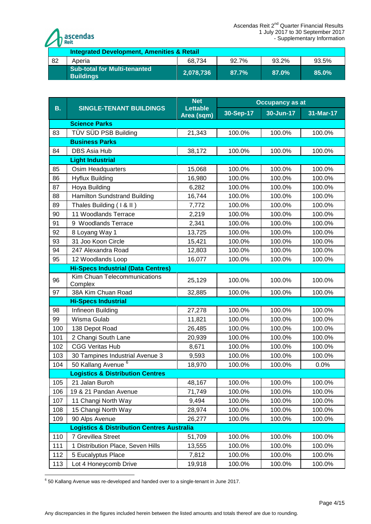

|     | <b>Integrated Development, Amenities &amp; Retail</b>   |           |       |           |       |  |  |  |  |
|-----|---------------------------------------------------------|-----------|-------|-----------|-------|--|--|--|--|
| -82 | 68.734<br>92.7%<br>93.2%<br>93.5%<br>Aperia             |           |       |           |       |  |  |  |  |
|     | <b>Sub-total for Multi-tenanted</b><br><b>Buildings</b> | 2,078,736 | 87.7% | $.87.0\%$ | 85.0% |  |  |  |  |

|           | <b>SINGLE-TENANT BUILDINGS</b>                        | <b>Net</b>                    | <b>Occupancy as at</b> |           |             |  |  |
|-----------|-------------------------------------------------------|-------------------------------|------------------------|-----------|-------------|--|--|
| <b>B.</b> |                                                       | <b>Lettable</b><br>Area (sqm) | 30-Sep-17              | 30-Jun-17 | $31-Mar-17$ |  |  |
|           | <b>Science Parks</b>                                  |                               |                        |           |             |  |  |
| 83        | TÜV SÜD PSB Building                                  | 21,343                        | 100.0%                 | 100.0%    | 100.0%      |  |  |
|           | <b>Business Parks</b>                                 |                               |                        |           |             |  |  |
| 84        | <b>DBS Asia Hub</b>                                   | 38,172                        | 100.0%                 | 100.0%    | 100.0%      |  |  |
|           | <b>Light Industrial</b>                               |                               |                        |           |             |  |  |
| 85        | Osim Headquarters                                     | 15,068                        | 100.0%                 | 100.0%    | 100.0%      |  |  |
| 86        | <b>Hyflux Building</b>                                | 16,980                        | 100.0%                 | 100.0%    | 100.0%      |  |  |
| 87        | Hoya Building                                         | 6,282                         | 100.0%                 | 100.0%    | 100.0%      |  |  |
| 88        | <b>Hamilton Sundstrand Building</b>                   | 16,744                        | 100.0%                 | 100.0%    | 100.0%      |  |  |
| 89        | Thales Building (1 & II)                              | 7,772                         | 100.0%                 | 100.0%    | 100.0%      |  |  |
| 90        | 11 Woodlands Terrace                                  | 2,219                         | 100.0%                 | 100.0%    | 100.0%      |  |  |
| 91        | 9 Woodlands Terrace                                   | 2,341                         | 100.0%                 | 100.0%    | 100.0%      |  |  |
| 92        | 8 Loyang Way 1                                        | 13,725                        | 100.0%                 | 100.0%    | 100.0%      |  |  |
| 93        | 31 Joo Koon Circle                                    | 15,421                        | 100.0%                 | 100.0%    | 100.0%      |  |  |
| 94        | 247 Alexandra Road                                    | 12,803                        | 100.0%                 | 100.0%    | 100.0%      |  |  |
| 95        | 12 Woodlands Loop                                     | 16,077                        | 100.0%                 | 100.0%    | 100.0%      |  |  |
|           | <b>Hi-Specs Industrial (Data Centres)</b>             |                               |                        |           |             |  |  |
| 96        | Kim Chuan Telecommunications<br>Complex               | 25,129                        | 100.0%                 | 100.0%    | 100.0%      |  |  |
| 97        | 38A Kim Chuan Road                                    | 32,885                        | 100.0%                 | 100.0%    | 100.0%      |  |  |
|           | <b>Hi-Specs Industrial</b>                            |                               |                        |           |             |  |  |
| 98        | Infineon Building                                     | 27,278                        | 100.0%                 | 100.0%    | 100.0%      |  |  |
| 99        | Wisma Gulab                                           | 11,821                        | 100.0%                 | 100.0%    | 100.0%      |  |  |
| 100       | 138 Depot Road                                        | 26,485                        | 100.0%                 | 100.0%    | 100.0%      |  |  |
| 101       | 2 Changi South Lane                                   | 20,939                        | 100.0%                 | 100.0%    | 100.0%      |  |  |
| 102       | <b>CGG Veritas Hub</b>                                | 8,671                         | 100.0%                 | 100.0%    | 100.0%      |  |  |
| 103       | 30 Tampines Industrial Avenue 3                       | 9,593                         | 100.0%                 | 100.0%    | 100.0%      |  |  |
| 104       | 50 Kallang Avenue <sup>6</sup>                        | 18,970                        | 100.0%                 | 100.0%    | 0.0%        |  |  |
|           | <b>Logistics &amp; Distribution Centres</b>           |                               |                        |           |             |  |  |
| 105       | 21 Jalan Buroh                                        | 48,167                        | 100.0%                 | 100.0%    | 100.0%      |  |  |
| 106       | 19 & 21 Pandan Avenue                                 | 71,749                        | 100.0%                 | 100.0%    | 100.0%      |  |  |
| 107       | 11 Changi North Way                                   | 9,494                         | 100.0%                 | 100.0%    | 100.0%      |  |  |
| 108       | 15 Changi North Way                                   | 28,974                        | 100.0%                 | 100.0%    | 100.0%      |  |  |
| 109       | 90 Alps Avenue                                        | 26,277                        | 100.0%                 | 100.0%    | 100.0%      |  |  |
|           | <b>Logistics &amp; Distribution Centres Australia</b> |                               |                        |           |             |  |  |
| 110       | 7 Grevillea Street                                    | 51,709                        | 100.0%                 | 100.0%    | 100.0%      |  |  |
| 111       | 1 Distribution Place, Seven Hills                     | 13,555                        | 100.0%                 | 100.0%    | 100.0%      |  |  |
| 112       | 5 Eucalyptus Place                                    | 7,812                         | 100.0%                 | 100.0%    | 100.0%      |  |  |
| 113       | Lot 4 Honeycomb Drive                                 | 19,918                        | 100.0%                 | 100.0%    | 100.0%      |  |  |

 6 50 Kallang Avenue was re-developed and handed over to a single-tenant in June 2017.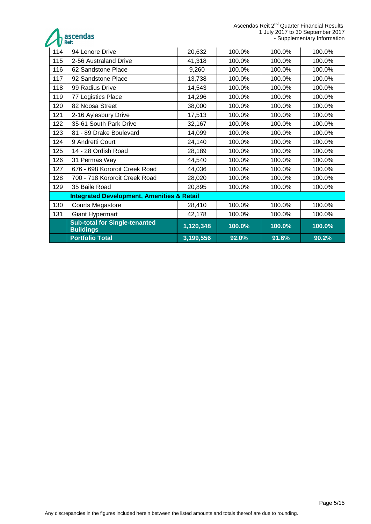Ascendas Reit 2<sup>nd</sup> Quarter Financial Results 1 July 2017 to 30 September 2017 - Supplementary Information

ascendas

| 114 | 94 Lenore Drive                                          | 20,632    | 100.0% | 100.0% | 100.0% |
|-----|----------------------------------------------------------|-----------|--------|--------|--------|
| 115 | 2-56 Australand Drive                                    | 41,318    | 100.0% | 100.0% | 100.0% |
| 116 | 62 Sandstone Place                                       | 9,260     | 100.0% | 100.0% | 100.0% |
| 117 | 92 Sandstone Place                                       | 13,738    | 100.0% | 100.0% | 100.0% |
| 118 | 99 Radius Drive                                          | 14,543    | 100.0% | 100.0% | 100.0% |
| 119 | 77 Logistics Place                                       | 14,296    | 100.0% | 100.0% | 100.0% |
| 120 | 82 Noosa Street                                          | 38,000    | 100.0% | 100.0% | 100.0% |
| 121 | 2-16 Aylesbury Drive                                     | 17,513    | 100.0% | 100.0% | 100.0% |
| 122 | 35-61 South Park Drive                                   | 32,167    | 100.0% | 100.0% | 100.0% |
| 123 | 81 - 89 Drake Boulevard                                  | 14,099    | 100.0% | 100.0% | 100.0% |
| 124 | 9 Andretti Court                                         | 24,140    | 100.0% | 100.0% | 100.0% |
| 125 | 14 - 28 Ordish Road                                      | 28,189    | 100.0% | 100.0% | 100.0% |
| 126 | 31 Permas Way                                            | 44,540    | 100.0% | 100.0% | 100.0% |
| 127 | 676 - 698 Kororoit Creek Road                            | 44,036    | 100.0% | 100.0% | 100.0% |
| 128 | 700 - 718 Kororoit Creek Road                            | 28,020    | 100.0% | 100.0% | 100.0% |
| 129 | 35 Baile Road                                            | 20,895    | 100.0% | 100.0% | 100.0% |
|     | <b>Integrated Development, Amenities &amp; Retail</b>    |           |        |        |        |
| 130 | <b>Courts Megastore</b>                                  | 28,410    | 100.0% | 100.0% | 100.0% |
| 131 | <b>Giant Hypermart</b>                                   | 42,178    | 100.0% | 100.0% | 100.0% |
|     | <b>Sub-total for Single-tenanted</b><br><b>Buildings</b> | 1,120,348 | 100.0% | 100.0% | 100.0% |
|     | <b>Portfolio Total</b>                                   | 3,199,556 | 92.0%  | 91.6%  | 90.2%  |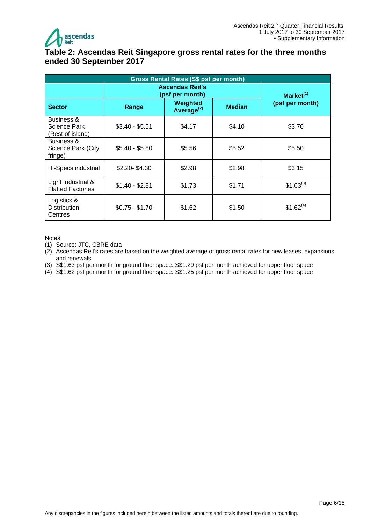

# <span id="page-5-0"></span>**Table 2: Ascendas Reit Singapore gross rental rates for the three months ended 30 September 2017**

| <b>Gross Rental Rates (S\$ psf per month)</b>  |                 |                                                           |               |                 |  |  |  |
|------------------------------------------------|-----------------|-----------------------------------------------------------|---------------|-----------------|--|--|--|
|                                                |                 | <b>Ascendas Reit's</b><br>(psf per month)<br>Market $(1)$ |               |                 |  |  |  |
| <b>Sector</b>                                  | Range           | Weighted<br>Average <sup>(2)</sup>                        | <b>Median</b> | (psf per month) |  |  |  |
| Business &<br>Science Park<br>(Rest of island) | $$3.40 - $5.51$ | \$4.17                                                    | \$4.10        | \$3.70          |  |  |  |
| Business &<br>Science Park (City<br>fringe)    | \$5.40 - \$5.80 | \$5.56                                                    | \$5.52        | \$5.50          |  |  |  |
| Hi-Specs industrial                            | $$2.20 - $4.30$ | \$2.98                                                    | \$2.98        | \$3.15          |  |  |  |
| Light Industrial &<br><b>Flatted Factories</b> | $$1.40 - $2.81$ | \$1.73                                                    | \$1.71        | $$1.63^{(3)}$   |  |  |  |
| Logistics &<br><b>Distribution</b><br>Centres  | $$0.75 - $1.70$ | \$1.62                                                    | \$1.50        | $$1.62^{(4)}$   |  |  |  |

Notes:

- (1) Source: JTC, CBRE data
- (2) Ascendas Reit's rates are based on the weighted average of gross rental rates for new leases, expansions and renewals
- (3) S\$1.63 psf per month for ground floor space. S\$1.29 psf per month achieved for upper floor space
- (4) S\$1.62 psf per month for ground floor space. S\$1.25 psf per month achieved for upper floor space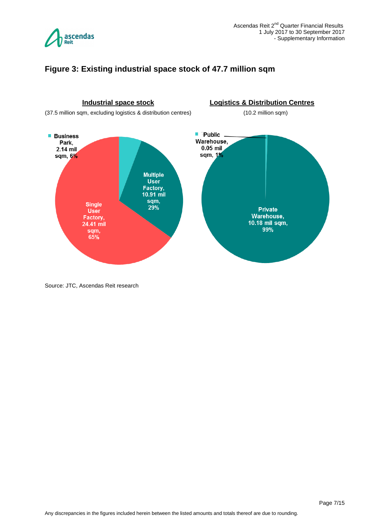

### <span id="page-6-0"></span>**Figure 3: Existing industrial space stock of 47.7 million sqm**



Source: JTC, Ascendas Reit research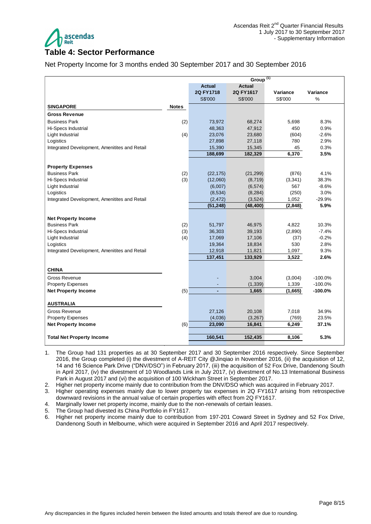

#### <span id="page-7-0"></span>**Table 4: Sector Performance**

Net Property Income for 3 months ended 30 September 2017 and 30 September 2016

|                                               |                         |           | Group <sup>(1)</sup> |          |           |
|-----------------------------------------------|-------------------------|-----------|----------------------|----------|-----------|
|                                               | <b>Actual</b><br>Actual |           |                      |          |           |
|                                               |                         | 2Q FY1718 | 2Q FY1617            | Variance | Variance  |
|                                               |                         | S\$'000   | S\$'000              | S\$'000  | %         |
| <b>SINGAPORE</b>                              | <b>Notes</b>            |           |                      |          |           |
| <b>Gross Revenue</b>                          |                         |           |                      |          |           |
| <b>Business Park</b>                          | (2)                     | 73,972    | 68,274               | 5,698    | 8.3%      |
| Hi-Specs Industrial                           |                         | 48,363    | 47,912               | 450      | 0.9%      |
| Light Industrial                              | (4)                     | 23,076    | 23,680               | (604)    | $-2.6%$   |
| Logistics                                     |                         | 27,898    | 27,118               | 780      | 2.9%      |
| Integrated Development, Amenitites and Retail |                         | 15,390    | 15,345               | 45       | 0.3%      |
|                                               |                         | 188,699   | 182,329              | 6,370    | 3.5%      |
|                                               |                         |           |                      |          |           |
| <b>Property Expenses</b>                      |                         |           |                      |          |           |
| <b>Business Park</b>                          | (2)                     | (22, 175) | (21, 299)            | (876)    | 4.1%      |
| Hi-Specs Industrial                           | (3)                     | (12,060)  | (8,719)              | (3,341)  | 38.3%     |
| Light Industrial                              |                         | (6,007)   | (6, 574)             | 567      | $-8.6%$   |
| Logistics                                     |                         | (8,534)   | (8, 284)             | (250)    | 3.0%      |
| Integrated Development, Amenitites and Retail |                         | (2, 472)  | (3,524)              | 1,052    | $-29.9%$  |
|                                               |                         | (51, 248) | (48, 400)            | (2,848)  | 5.9%      |
|                                               |                         |           |                      |          |           |
| <b>Net Property Income</b>                    |                         |           |                      |          |           |
| <b>Business Park</b>                          | (2)                     | 51,797    | 46,975               | 4,822    | 10.3%     |
| Hi-Specs Industrial                           | (3)                     | 36,303    | 39,193               | (2,890)  | $-7.4%$   |
| Light Industrial                              | (4)                     | 17,069    | 17,106               | (37)     | $-0.2%$   |
| Logistics                                     |                         | 19,364    | 18,834               | 530      | 2.8%      |
| Integrated Development, Amenitites and Retail |                         | 12,918    | 11,821               | 1,097    | 9.3%      |
|                                               |                         | 137,451   | 133,929              | 3,522    | 2.6%      |
| <b>CHINA</b>                                  |                         |           |                      |          |           |
| <b>Gross Revenue</b>                          |                         |           | 3,004                | (3,004)  | $-100.0%$ |
| <b>Property Expenses</b>                      |                         |           | (1, 339)             | 1,339    | $-100.0%$ |
| <b>Net Property Income</b>                    | (5)                     |           | 1,665                | (1,665)  | $-100.0%$ |
| <b>AUSTRALIA</b>                              |                         |           |                      |          |           |
| <b>Gross Revenue</b>                          |                         | 27,126    | 20,108               | 7,018    | 34.9%     |
| <b>Property Expenses</b>                      |                         | (4,036)   | (3,267)              | (769)    | 23.5%     |
| <b>Net Property Income</b>                    | (6)                     | 23,090    | 16,841               | 6,249    | 37.1%     |
|                                               |                         |           |                      |          |           |
| <b>Total Net Property Income</b>              |                         | 160,541   | 152,435              | 8,106    | 5.3%      |
|                                               |                         |           |                      |          |           |

1. The Group had 131 properties as at 30 September 2017 and 30 September 2016 respectively. Since September 2016, the Group completed (i) the divestment of A-REIT City @Jinqiao in November 2016, (ii) the acquisition of 12, 14 and 16 Science Park Drive ("DNV/DSO") in February 2017, (iii) the acquisition of 52 Fox Drive, Dandenong South in April 2017, (iv) the divestment of 10 Woodlands Link in July 2017, (v) divestment of No.13 International Business Park in August 2017 and (vi) the acquisition of 100 Wickham Street in September 2017.

2. Higher net property income mainly due to contribution from the DNV/DSO which was acquired in February 2017.

3. Higher operating expenses mainly due to lower property tax expenses in 2Q FY1617 arising from retrospective downward revisions in the annual value of certain properties with effect from 2Q FY1617.

4. Marginally lower net property income, mainly due to the non-renewals of certain leases.

5. The Group had divested its China Portfolio in FY1617.

6. Higher net property income mainly due to contribution from 197-201 Coward Street in Sydney and 52 Fox Drive, Dandenong South in Melbourne, which were acquired in September 2016 and April 2017 respectively.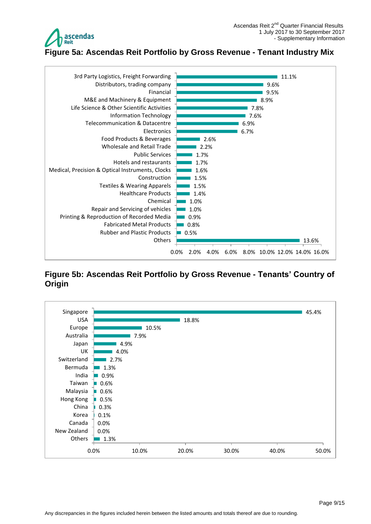

<span id="page-8-0"></span>

# <span id="page-8-1"></span>**Figure 5b: Ascendas Reit Portfolio by Gross Revenue - Tenants' Country of Origin**

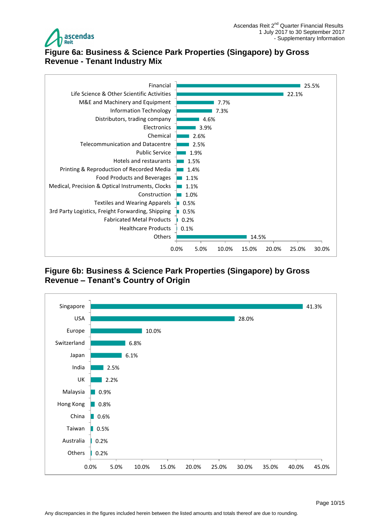

### <span id="page-9-0"></span>**Figure 6a: Business & Science Park Properties (Singapore) by Gross Revenue - Tenant Industry Mix**



### <span id="page-9-1"></span>**Figure 6b: Business & Science Park Properties (Singapore) by Gross Revenue – Tenant's Country of Origin**

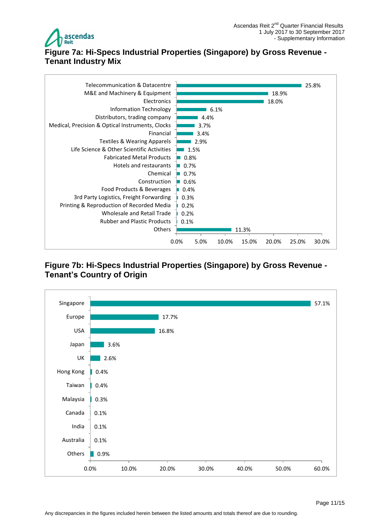

# <span id="page-10-0"></span>**Figure 7a: Hi-Specs Industrial Properties (Singapore) by Gross Revenue - Tenant Industry Mix**



### <span id="page-10-1"></span>**Figure 7b: Hi-Specs Industrial Properties (Singapore) by Gross Revenue - Tenant's Country of Origin**

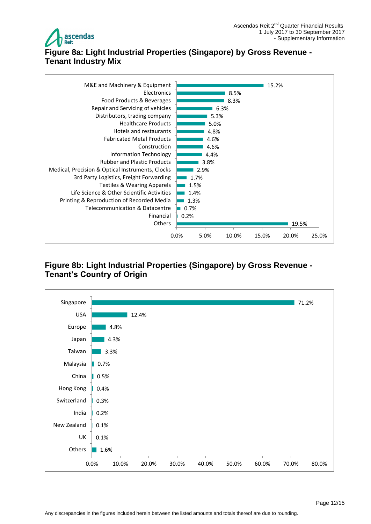

# <span id="page-11-0"></span>**Figure 8a: Light Industrial Properties (Singapore) by Gross Revenue - Tenant Industry Mix**



# <span id="page-11-1"></span>**Figure 8b: Light Industrial Properties (Singapore) by Gross Revenue - Tenant's Country of Origin**

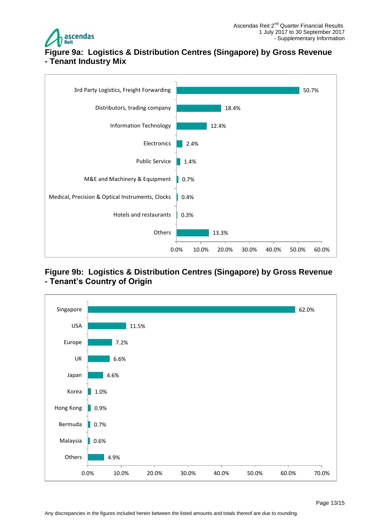

# <span id="page-12-0"></span>**Figure 9a: Logistics & Distribution Centres (Singapore) by Gross Revenue - Tenant Industry Mix**



### <span id="page-12-1"></span>**Figure 9b: Logistics & Distribution Centres (Singapore) by Gross Revenue - Tenant's Country of Origin**

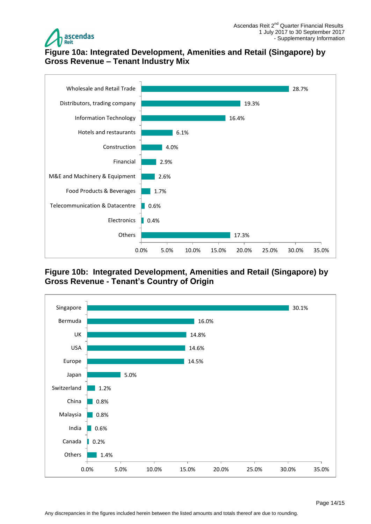

# <span id="page-13-0"></span>**Figure 10a: Integrated Development, Amenities and Retail (Singapore) by Gross Revenue – Tenant Industry Mix**



# <span id="page-13-1"></span>**Figure 10b: Integrated Development, Amenities and Retail (Singapore) by Gross Revenue - Tenant's Country of Origin**